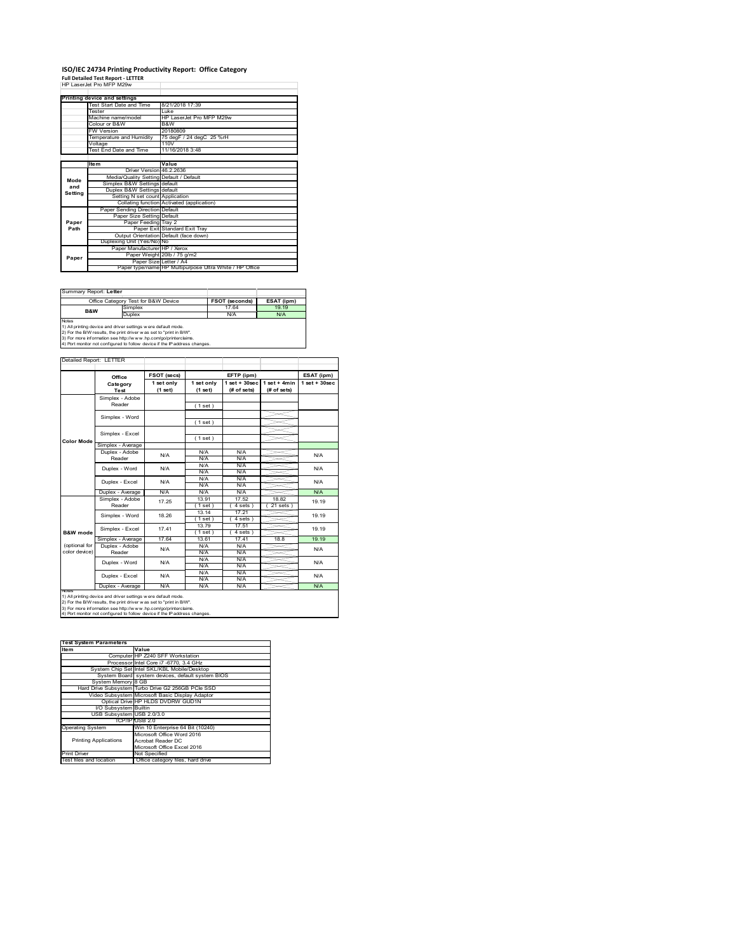# **ISO/IEC 24734 Printing Productivity Report: Office Category Full Detailed Test Report ‐ LETTER** HP LaserJet Pro MFP M29w

<u>ob and Scango</u><br>st Start Date and Time | 8/21/2018 Tester Luke Machine name/model HP LaserJet Pro MFP M29w Colour or B&W B&W W Version<br>emperature and H <u>to hoods</u><br>75 degF / 24 degC 25 %r oltage<br>ist End Date a 110V<br>11/16/2018 3:48 **Item Value** Driver Version 46.2.2636 Media/Quality Setting Default / Default ngs defaul Duplex B&W Settings default Setting N set count Application Collating function Activated (application) Paper Sending Direction Default Paper Size Setting Default Paper Feeding Tray 2 Pamar Exit Standard Exit Tray efault (face do Duplexing Unit (Yes/No) No Manufacturer HP / Xerox er Weight 20lb / 75 g/m2 PLetter / A4 Paper type/name HP Multipurpose Ultra White / HP Office **Printing device and settings Mode and Setting Paper Path Paper**

| Summary Report: Letter |                                                                                                                                                                                                                                                                                       |                       |            |
|------------------------|---------------------------------------------------------------------------------------------------------------------------------------------------------------------------------------------------------------------------------------------------------------------------------------|-----------------------|------------|
|                        | Office Category Test for B&W Device                                                                                                                                                                                                                                                   | <b>FSOT (seconds)</b> | ESAT (ipm) |
| B&W                    | Simplex                                                                                                                                                                                                                                                                               | 17.64                 | 19 19      |
|                        | Duplex                                                                                                                                                                                                                                                                                | N/A                   | N/A        |
| <b>Notes</b>           | 1) All printing device and driver settings were default mode.<br>2) For the B/W results, the print driver was set to "print in B/W".<br>3) For more information see http://www.hp.com/go/printerclaims.<br>4) Port monitor not configured to follow device if the IP address changes. |                       |            |

|                   | Office            | <b>FSOT (secs)</b>    |                       | EFTP (ipm)                        |                               | ESAT (ipm)        |
|-------------------|-------------------|-----------------------|-----------------------|-----------------------------------|-------------------------------|-------------------|
|                   | Category<br>Test  | 1 set only<br>(1 set) | 1 set only<br>(1 set) | $1$ set + $30$ sec<br>(# of sets) | $1$ set + 4min<br>(# of sets) | $1$ set $+30$ sec |
|                   | Simplex - Adobe   |                       |                       |                                   |                               |                   |
|                   | Reader            |                       | (1 set)               |                                   |                               |                   |
|                   |                   |                       |                       |                                   |                               |                   |
|                   | Simplex - Word    |                       | (1 set)               |                                   |                               |                   |
|                   |                   |                       |                       |                                   |                               |                   |
|                   | Simplex - Excel   |                       | (1 set)               |                                   |                               |                   |
| <b>Color Mode</b> | Simplex - Average |                       |                       |                                   |                               |                   |
|                   | Duplex - Adobe    | N/A                   | N/A                   | N/A                               |                               | N/A               |
|                   | Reader            |                       | N/A                   | N/A                               |                               |                   |
|                   | Duplex - Word     | N/A                   | N/A                   | N/A                               |                               | N/A               |
|                   |                   |                       | N/A                   | N/A                               |                               |                   |
|                   | Duplex - Excel    | N/A                   | N/A                   | N/A                               |                               | N/A               |
|                   |                   |                       | N/A                   | N/A                               |                               |                   |
|                   | Duplex - Average  | N/A                   | N/A                   | N/A                               |                               | <b>N/A</b>        |
|                   | Simplex - Adobe   | 17 25                 | 13.91                 | 17.52                             | 1882                          | 19 19             |
|                   | Reader            |                       | 1 set)                | 4 sets                            | 21 sets                       |                   |
|                   | Simplex - Word    | 18.26                 | 13.14                 | 17.21                             |                               | 19.19             |
|                   |                   |                       | (1 set)               | 4 sets)                           |                               |                   |
|                   | Simplex - Excel   | 17.41                 | 1379                  | 17.51                             |                               | 19.19             |
| B&W mode          |                   |                       | (1 set)               | $4 sets$ )                        |                               |                   |
|                   | Simplex - Average | 1764                  | 13.61                 | 1741                              | 18.8                          | 19 19             |
| (optional for     | Duplex - Adobe    | N/A                   | N/A                   | N/A                               |                               | N/A               |
| color device)     | Reader            |                       | N/A                   | N/A                               |                               |                   |
|                   | Duplex - Word     | N/A                   | N/A                   | N/A                               |                               | N/A               |
|                   |                   |                       | N/A                   | N/A                               |                               |                   |
|                   | Duplex - Excel    | N/A                   | N/A                   | N/A                               |                               | N/A               |
|                   |                   |                       | N/A                   | N/A                               |                               |                   |
| <b>NOTAS</b>      | Duplex - Average  | N/A                   | N/A                   | N/A                               |                               | N/A               |

2) For the B/W results, the print driver w as set to "print in B/W".<br>3) For more information see http://w w w .hp.com/go/printerclaims.<br>4) Port monitor not configured to follow device if the IP address changes.

| <b>Test System Parameters</b> |                                                    |
|-------------------------------|----------------------------------------------------|
| Item                          | Value                                              |
|                               | Computer HP Z240 SFF Workstation                   |
|                               | Processor Intel Core i7 -6770, 3.4 GHz             |
|                               | System Chip Set Intel SKL/KBL Mobile/Desktop       |
|                               | System Board system devices, default system BIOS   |
| System Memory 8 GB            |                                                    |
|                               | Hard Drive Subsystem Turbo Drive G2 256GB PCle SSD |
|                               | Video Subsystem Microsoft Basic Display Adaptor    |
|                               | Optical Drive HP HLDS DVDRW GUD1N                  |
| I/O Subsystem Builtin         |                                                    |
| USB Subsystem USB 2.0/3.0     |                                                    |
|                               | TCP/IPIUSB 2.0                                     |
| <b>Operating System</b>       | Win 10 Enterprise 64 Bit (10240)                   |
|                               | Microsoft Office Word 2016                         |
| <b>Printing Applications</b>  | Acrobat Reader DC                                  |
|                               | Microsoft Office Excel 2016                        |
| <b>Print Driver</b>           | Not Specified                                      |
| Test files and location       | Office category files, hard drive                  |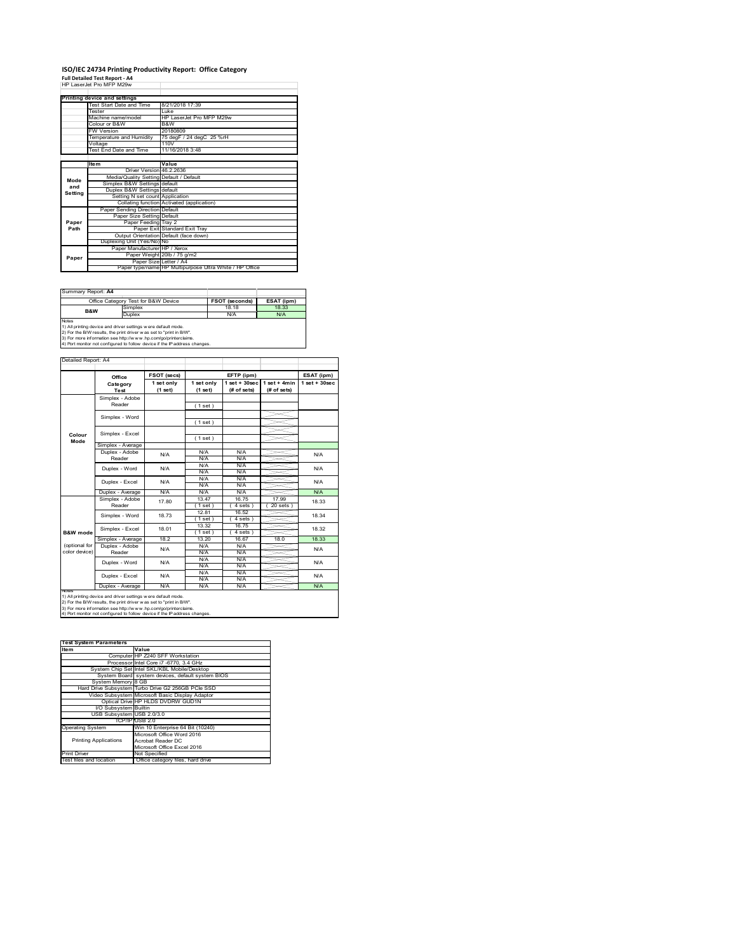#### **ISO/IEC 24734 Printing Productivity Report: Office Category Full Detailed Test Report ‐ A4** HP LaserJet Pro MFP M29w

|         | <b>FIF LASCIJCIFIU MFF MZƏW</b>         |                                                         |
|---------|-----------------------------------------|---------------------------------------------------------|
|         |                                         |                                                         |
|         | Printing device and settings            |                                                         |
|         | Test Start Date and Time                | 8/21/2018 17:39                                         |
|         | <b>Tester</b>                           | l uke                                                   |
|         | Machine name/model                      | HP LaserJet Pro MFP M29w                                |
|         | Colour or B&W                           | B&W                                                     |
|         | <b>FW Version</b>                       | 20180809                                                |
|         | Temperature and Humidity                | 75 degF / 24 degC 25 %rH                                |
|         | Voltage                                 | 110V                                                    |
|         | Test End Date and Time                  | 11/16/2018 3:48                                         |
|         |                                         |                                                         |
|         | <b>Item</b>                             | Value                                                   |
|         | Driver Version 46.2.2636                |                                                         |
| Mode    | Media/Quality Setting Default / Default |                                                         |
| and     | Simplex B&W Settings default            |                                                         |
| Setting | Duplex B&W Settings default             |                                                         |
|         | Setting N set count Application         |                                                         |
|         |                                         | Collating function Activated (application)              |
|         | Paper Sending Direction Default         |                                                         |
|         | Paper Size Setting Default              |                                                         |
| Paper   | Paper Feeding Tray 2                    |                                                         |
| Path    |                                         | Paper Exit Standard Exit Tray                           |
|         |                                         | Output Orientation Default (face down)                  |
|         | Duplexing Unit (Yes/No) No              |                                                         |
|         | Paper Manufacturer HP / Xerox           |                                                         |
| Paper   |                                         | Paper Weight 20lb / 75 g/m2                             |
|         |                                         | Paper Size Letter / A4                                  |
|         |                                         | Paper type/name HP Multipurpose Ultra White / HP Office |

| Office Category Test for B&W Device                                                                                                                                                                      | <b>FSOT (seconds)</b>                                                      | ESAT (ipm) |
|----------------------------------------------------------------------------------------------------------------------------------------------------------------------------------------------------------|----------------------------------------------------------------------------|------------|
| Simplex                                                                                                                                                                                                  | 18.18                                                                      | 18.33      |
| Duplex                                                                                                                                                                                                   | N/A                                                                        | N/A        |
| 1) All printing device and driver settings w ere default mode.<br>2) For the B/W results, the print driver was set to "print in B/W".<br>3) For more information see http://www.hp.com/go/printerclaims. |                                                                            |            |
|                                                                                                                                                                                                          | 4) Port monitor not configured to follow device if the IP address changes. |            |

**FSOT (secs) ESAT (ipm) EFTP (ipm) Office 1 set only (1 set) 1 set only (1 set) 1 set + 30sec (# of sets) 1 set + 4min (# of sets) 1 set + 30sec** ( 1 set ) ( 1 set ) ( 1 set ) Simplex - Average Duplex - Adobe  $N/f$ N/A N/A N/A N/A N/A N/A N/A N/A  $\frac{N}{N}$ Duplex - Average N/A N/A N/A N/A N/A N/A<br>Simplex - Adobe <sub>47,00</sub> 13.47 16.75 17.99 40.0 13.47 16.75 17.99<br>(1 set) (4 sets) (20 sets)  $(4 \text{ sets})$ <br> $16.52$ 12.81 (4.56)<br>12.81 16.5<br>15.520 16.52 ( 1 set ) ( 4 sets )<br>13.32 16.75  $\frac{1 \text{ set}}{13.20}$  (4 sets Simplex - Average 18.2 13.20 16.67 18.0 18.33<br>
Duplex - Adobe N/A N/A N/A N/A N/A N/A N/A N/A N/A N/A N/A N/A<br>N/A N/A N/A N/A N/A N/A<br>N/A N/A<br>N/A N/A N/A<br>N/A Duplex - Average N/A N/A N/A N/A N/A N/A Duplex - Word Duplex - Excel N/A N/A N/A N/A N/A 18.33 18.34 18.32 N/A N/A Reader Simplex - Word 18.73 Duplex - Excel 17.80 notes<br>1) All printing device and driver settings were default mode.<br>2) For the B/W results, the print driver was set to "print in B/W".<br>3) For more information see http://www.hp.com/go/printerclaims.<br>4) Por moralitor not c **B&W mode** (optional for color device) **Colour Mode** Simplex - Adobe Reader Simplex - Excel Simplex - Word Simplex - Excel 18.01 Reader Duplex - Word ailed Report: A4 **Category Test** N/A  $N/A$   $N/A$   $N/A$   $N/A$   $N/A$ N/A

**Item Value Test System Parameters**Computer HP Z240 SFF Workstation Processor Intel Core i7 -6770, 3.4 GHz System Chip Set Intel SKL/KBL Mobile/Desktop System Board system devices, default system BIOS System Memory 8 GB Hard Drive Subsystem Turbo Drive G2 256GB PCIe SSD Video Subsystem Microsoft Basic Display Adaptor Optical Drive HP HLDS DVDRW GUD1N I/O Subsystem Builtin USB Subsystem USB 2.0/3.0 TCP/IP USB 2.0<br>
Win 10 Enterprise 64 Bit (10240)<br>
Microsoft Office Word 2016<br>
Printing Applications<br>
Acrobat Reader DC<br>
Microsoft Office Excel 2016 Printing Applications Print Driver Mot Specified<br>Test files and location Office category files, hard drive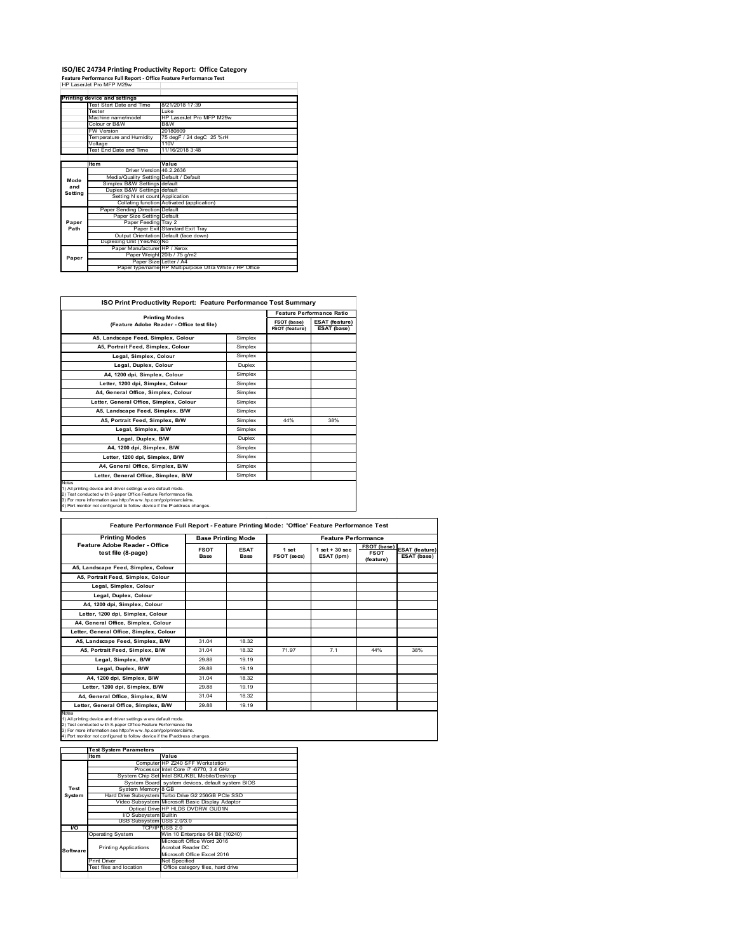## **ISO/IEC 24734 Printing Productivity Report: Office Category Feature Performance Full Report ‐ Office Feature Performance Test** HP LaserJet Pro MFP M29w

|         | Printing device and settings            |                                                         |
|---------|-----------------------------------------|---------------------------------------------------------|
|         | Test Start Date and Time                | 8/21/2018 17:39                                         |
|         | <b>Tester</b>                           | l uke                                                   |
|         | Machine name/model                      | HP LaserJet Pro MFP M29w                                |
|         | Colour or B&W                           | B&W                                                     |
|         | <b>FW Version</b>                       | 20180809                                                |
|         | Temperature and Humidity                | 75 degF / 24 degC 25 %rH                                |
|         | Voltage                                 | 110V                                                    |
|         | <b>Test End Date and Time</b>           | 11/16/2018 3:48                                         |
|         |                                         |                                                         |
|         | <b>Item</b>                             | Value                                                   |
|         | Driver Version 46 2 2636                |                                                         |
| Mode    | Media/Quality Setting Default / Default |                                                         |
| and     | Simplex B&W Settings default            |                                                         |
| Setting | Duplex B&W Settings default             |                                                         |
|         | Setting N set count Application         |                                                         |
|         |                                         | Collating function Activated (application)              |
|         | Paper Sending Direction Default         |                                                         |
|         | Paper Size Setting Default              |                                                         |
| Paper   | Paper Feeding Tray 2                    |                                                         |
| Path    |                                         | Paper Exit Standard Exit Tray                           |
|         |                                         | Output Orientation Default (face down)                  |
|         | Duplexing Unit (Yes/No) No              |                                                         |
|         | Paper Manufacturer HP / Xerox           |                                                         |
| Paper   |                                         | Paper Weight 20lb / 75 g/m2                             |
|         | Paper Size Letter / A4                  |                                                         |
|         |                                         | Paper type/name HP Multipurpose Ultra White / HP Office |

| <b>ISO Print Productivity Report: Feature Performance Test Summary</b>                                                                                                                                                                                                                      |                       |                                  |                                      |  |  |
|---------------------------------------------------------------------------------------------------------------------------------------------------------------------------------------------------------------------------------------------------------------------------------------------|-----------------------|----------------------------------|--------------------------------------|--|--|
|                                                                                                                                                                                                                                                                                             |                       | <b>Feature Performance Ratio</b> |                                      |  |  |
| (Feature Adobe Reader - Office test file)                                                                                                                                                                                                                                                   | <b>Printing Modes</b> |                                  | <b>ESAT (feature)</b><br>ESAT (base) |  |  |
| A5, Landscape Feed, Simplex, Colour                                                                                                                                                                                                                                                         | Simplex               |                                  |                                      |  |  |
| A5, Portrait Feed, Simplex, Colour                                                                                                                                                                                                                                                          | Simplex               |                                  |                                      |  |  |
| Legal, Simplex, Colour                                                                                                                                                                                                                                                                      | Simplex               |                                  |                                      |  |  |
| Legal, Duplex, Colour                                                                                                                                                                                                                                                                       | Duplex                |                                  |                                      |  |  |
| A4, 1200 dpi, Simplex, Colour                                                                                                                                                                                                                                                               | Simplex               |                                  |                                      |  |  |
| Letter, 1200 dpi, Simplex, Colour                                                                                                                                                                                                                                                           | Simplex               |                                  |                                      |  |  |
| A4. General Office. Simplex. Colour                                                                                                                                                                                                                                                         | Simplex               |                                  |                                      |  |  |
| Letter, General Office, Simplex, Colour                                                                                                                                                                                                                                                     | Simplex               |                                  |                                      |  |  |
| A5, Landscape Feed, Simplex, B/W                                                                                                                                                                                                                                                            | Simplex               |                                  |                                      |  |  |
| A5, Portrait Feed, Simplex, B/W                                                                                                                                                                                                                                                             | Simplex               | 44%                              | 38%                                  |  |  |
| Legal, Simplex, B/W                                                                                                                                                                                                                                                                         | Simplex               |                                  |                                      |  |  |
| Legal, Duplex, B/W                                                                                                                                                                                                                                                                          | Duplex                |                                  |                                      |  |  |
| A4, 1200 dpi, Simplex, B/W                                                                                                                                                                                                                                                                  | Simplex               |                                  |                                      |  |  |
| Letter, 1200 dpi. Simplex, B/W                                                                                                                                                                                                                                                              | Simplex               |                                  |                                      |  |  |
| A4, General Office, Simplex, B/W                                                                                                                                                                                                                                                            | Simplex               |                                  |                                      |  |  |
| Letter, General Office, Simplex, B/W                                                                                                                                                                                                                                                        | Simplex               |                                  |                                      |  |  |
| Notes<br>1) All printing device and driver settings w ere default mode.<br>2) Test conducted with 8-paper Office Feature Performance file.<br>3) For more information see http://www.hp.com/go/printerclaims.<br>4) Port monitor not configured to follow device if the IP address changes. |                       |                                  |                                      |  |  |

| <b>Printing Modes</b>                               | <b>Base Printing Mode</b> |                            | <b>Feature Performance</b> |                                  |                                         |                                      |
|-----------------------------------------------------|---------------------------|----------------------------|----------------------------|----------------------------------|-----------------------------------------|--------------------------------------|
| Feature Adobe Reader - Office<br>test file (8-page) | <b>FSOT</b><br>Base       | <b>ESAT</b><br><b>Base</b> | 1 set<br>FSOT (secs)       | $1$ set $+30$ sec.<br>ESAT (ipm) | FSOT (base)<br><b>FSOT</b><br>(feature) | <b>ESAT (feature)</b><br>ESAT (base) |
| A5. Landscape Feed. Simplex. Colour                 |                           |                            |                            |                                  |                                         |                                      |
| A5, Portrait Feed, Simplex, Colour                  |                           |                            |                            |                                  |                                         |                                      |
| Legal, Simplex, Colour                              |                           |                            |                            |                                  |                                         |                                      |
| Legal, Duplex, Colour                               |                           |                            |                            |                                  |                                         |                                      |
| A4. 1200 dpi. Simplex. Colour                       |                           |                            |                            |                                  |                                         |                                      |
| Letter, 1200 dpi, Simplex, Colour                   |                           |                            |                            |                                  |                                         |                                      |
| A4, General Office, Simplex, Colour                 |                           |                            |                            |                                  |                                         |                                      |
| Letter, General Office, Simplex, Colour             |                           |                            |                            |                                  |                                         |                                      |
| A5, Landscape Feed, Simplex, B/W                    | 31.04                     | 18.32                      |                            |                                  |                                         |                                      |
| A5, Portrait Feed, Simplex, B/W                     | 31.04                     | 18.32                      | 71.97                      | 7.1                              | 44%                                     | 38%                                  |
| Legal, Simplex, B/W                                 | 29.88                     | 19.19                      |                            |                                  |                                         |                                      |
| Legal, Duplex, B/W                                  | 29.88                     | 19.19                      |                            |                                  |                                         |                                      |
| A4, 1200 dpi, Simplex, B/W                          | 31.04                     | 18.32                      |                            |                                  |                                         |                                      |
| Letter, 1200 dpi, Simplex, B/W                      | 29.88                     | 19.19                      |                            |                                  |                                         |                                      |
| A4. General Office. Simplex. B/W                    | 31.04                     | 18.32                      |                            |                                  |                                         |                                      |
| Letter, General Office, Simplex, B/W                | 29.88                     | 19.19                      |                            |                                  |                                         |                                      |

1) All printing device and driver settings were default mode.<br>2) Test conducted with 8-paper Office Feature Performance file<br>3) For more information see http://www.hp.com/go/printerclaims.<br>4) Port monitor not configured to

|           | <b>Test System Parameters</b> |                                                    |
|-----------|-------------------------------|----------------------------------------------------|
|           | Item                          | Value                                              |
|           |                               | Computer HP Z240 SFF Workstation                   |
|           |                               | Processor Intel Core i7 -6770, 3.4 GHz             |
|           |                               | System Chip Set Intel SKL/KBL Mobile/Desktop       |
|           |                               | System Board system devices, default system BIOS   |
| Test      | System Memory 8 GB            |                                                    |
| System    |                               | Hard Drive Subsystem Turbo Drive G2 256GB PCle SSD |
|           |                               | Video Subsystem Microsoft Basic Display Adaptor    |
|           |                               | Optical Drive HP HLDS DVDRW GUD1N                  |
|           | <b>VO Subsystem Builtin</b>   |                                                    |
|           | USB Subsystem USB 2.0/3.0     |                                                    |
| <b>VO</b> |                               | TCP/IP USB 2.0                                     |
|           | <b>Operating System</b>       | Win 10 Enterprise 64 Bit (10240)                   |
|           |                               | Microsoft Office Word 2016                         |
| Software  | <b>Printing Applications</b>  | Acrobat Reader DC                                  |
|           |                               | Microsoft Office Excel 2016                        |
|           | <b>Print Driver</b>           | Not Specified                                      |
|           | Test files and location       | Office category files, hard drive                  |
|           |                               |                                                    |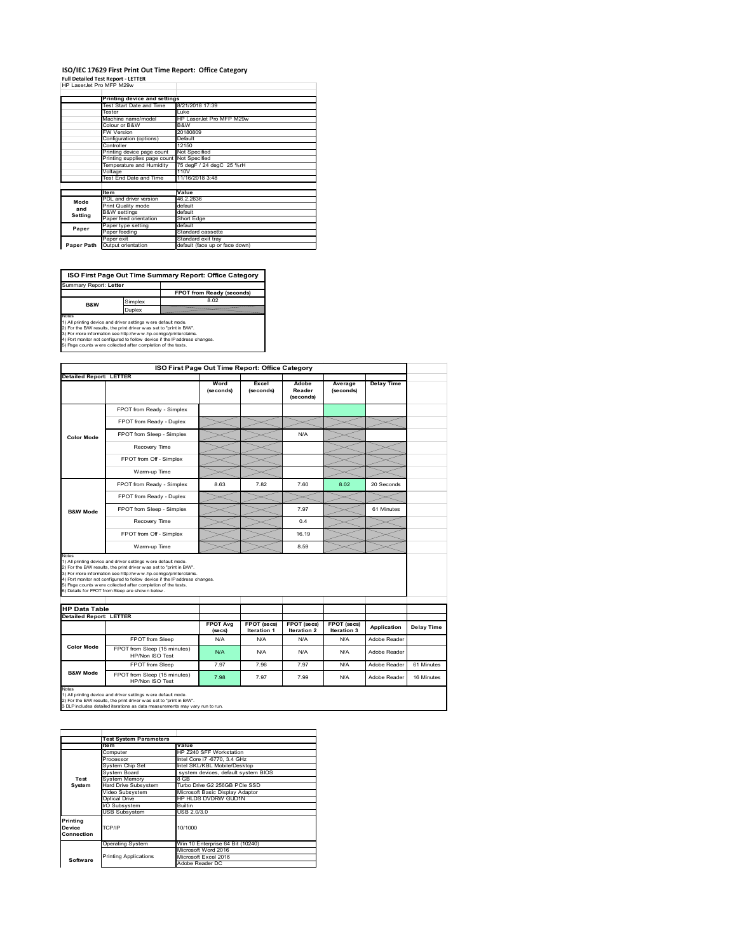## **ISO/IEC 17629 First Print Out Time Report: Office Category**

| <b>Full Detailed Test Report - LETTER</b> |  |
|-------------------------------------------|--|
| HP LaserJet Pro MFP M29w                  |  |

|            | Printing device and settings  |                                |
|------------|-------------------------------|--------------------------------|
|            | Test Start Date and Time      | 8/21/2018 17:39                |
|            | Tester                        | Luke                           |
|            | Machine name/model            | HP LaserJet Pro MFP M29w       |
|            | Colour or B&W                 | B&W                            |
|            | FW Version                    | 20180809                       |
|            | Configuration (options)       | Default                        |
|            | Controller                    | 12150                          |
|            | Printing device page count    | Not Specified                  |
|            | Printing supplies page count  | Not Specified                  |
|            | Temperature and Humidity      | 75 degF / 24 degC 25 %rH       |
|            | Voltage                       | 110V                           |
|            | <b>Test End Date and Time</b> | 11/16/2018 3:48                |
|            |                               |                                |
|            | <b>Item</b>                   | Value                          |
| Mode       | PDL and driver version        | 46.2.2636                      |
| and        | Print Quality mode            | default                        |
| Setting    | <b>B&amp;W</b> settings       | default                        |
|            | Paper feed orientation        | Short Edge                     |
| Paper      | Paper type setting            | default                        |
|            | Paper feeding                 | Standard cassette              |
|            | Paper exit                    | Standard exit tray             |
| Paper Path | Output orientation            | default (face up or face down) |

**FPOT from Ready (seconds)** Simplex **Duplex**<br>Notes<br>1) All printing device and driver settings were default mode.<br>2) For the BM results, the print driver was set to "print in BM".<br>4) For more information see http://www.hp.com/golprinterclaims.<br>4) Port monitor **ISO First Page Out Time Summary Report: Office Category** Summary Report: **Letter B&W**

|                                                                 |                                                                                                                                                                                                                                                                                                                                                                                                              | ISO First Page Out Time Report: Office Category |                                   |                              |                            |                   |            |
|-----------------------------------------------------------------|--------------------------------------------------------------------------------------------------------------------------------------------------------------------------------------------------------------------------------------------------------------------------------------------------------------------------------------------------------------------------------------------------------------|-------------------------------------------------|-----------------------------------|------------------------------|----------------------------|-------------------|------------|
| <b>Detailed Report: LETTER</b>                                  |                                                                                                                                                                                                                                                                                                                                                                                                              | Word<br>(seconds)                               | Excel<br>(seconds)                | Adobe<br>Reader<br>(seconds) | Average<br>(seconds)       | <b>Delay Time</b> |            |
|                                                                 | FPOT from Ready - Simplex                                                                                                                                                                                                                                                                                                                                                                                    |                                                 |                                   |                              |                            |                   |            |
|                                                                 | FPOT from Ready - Duplex                                                                                                                                                                                                                                                                                                                                                                                     |                                                 |                                   |                              |                            |                   |            |
| Color Mode                                                      | FPOT from Sleep - Simplex                                                                                                                                                                                                                                                                                                                                                                                    |                                                 |                                   | N/A                          |                            |                   |            |
|                                                                 | Recovery Time                                                                                                                                                                                                                                                                                                                                                                                                |                                                 |                                   |                              |                            |                   |            |
|                                                                 | FPOT from Off - Simplex                                                                                                                                                                                                                                                                                                                                                                                      |                                                 |                                   |                              |                            |                   |            |
|                                                                 | Warm-up Time                                                                                                                                                                                                                                                                                                                                                                                                 |                                                 |                                   |                              |                            |                   |            |
|                                                                 | FPOT from Ready - Simplex                                                                                                                                                                                                                                                                                                                                                                                    | 8.63                                            | 7.82                              | 7.60                         | 8.02                       | 20 Seconds        |            |
|                                                                 | FPOT from Ready - Duplex                                                                                                                                                                                                                                                                                                                                                                                     |                                                 |                                   |                              |                            |                   |            |
| <b>B&amp;W Mode</b>                                             | FPOT from Sleep - Simplex                                                                                                                                                                                                                                                                                                                                                                                    |                                                 |                                   | 7.97                         |                            | 61 Minutes        |            |
|                                                                 | Recovery Time                                                                                                                                                                                                                                                                                                                                                                                                |                                                 |                                   | 0.4                          |                            |                   |            |
|                                                                 |                                                                                                                                                                                                                                                                                                                                                                                                              |                                                 |                                   |                              |                            |                   |            |
|                                                                 | FPOT from Off - Simplex                                                                                                                                                                                                                                                                                                                                                                                      |                                                 |                                   | 16 19                        |                            |                   |            |
|                                                                 | Warm-up Time                                                                                                                                                                                                                                                                                                                                                                                                 |                                                 |                                   | 8.59                         |                            |                   |            |
| Notes<br><b>HP Data Table</b><br><b>Detailed Report: LETTER</b> | 1) All printing device and driver settings w ere default mode.<br>2) For the B/W results, the print driver w as set to "print in B/W".<br>3) For more information see http://www.hp.com/go/printerclaims.<br>4) Port monitor not configured to follow device if the IP address changes.<br>5) Page counts w ere collected after completion of the tests.<br>6) Details for FPOT from Sleep are show n below. |                                                 |                                   |                              |                            |                   |            |
|                                                                 |                                                                                                                                                                                                                                                                                                                                                                                                              | <b>FPOT Avg</b><br>(se cs)                      | FPOT (secs)<br><b>Iteration 1</b> | FPOT (secs)<br>Iteration 2   | FPOT (secs)<br>Iteration 3 | Application       | Delay Time |
|                                                                 | FPOT from Sleep                                                                                                                                                                                                                                                                                                                                                                                              | N/A                                             | N/A                               | N/A                          | N/A                        | Adobe Reader      |            |
| Color Mode                                                      | FPOT from Sleep (15 minutes)<br>HP/Non ISO Test                                                                                                                                                                                                                                                                                                                                                              | N/A                                             | N/A                               | N/A                          | N/A                        | Adobe Reader      |            |
| <b>B&amp;W Mode</b>                                             | FPOT from Sleep                                                                                                                                                                                                                                                                                                                                                                                              | 7.97                                            | 7.96                              | 7.97                         | N/A                        | Adobe Reader      | 61 Minutes |

1) All printing device and driver settings w ere default mode.<br>2) For the B/W results, the print driver w as set to "print in B/W".<br>3 DLP includes detailed iterations as data measurements may vary run to run.

**Item Value** Computer HP Z240 SFF Workstation Processor Intel Core i7 -6770, 3.4 GHz System Chip Set Intel SKL/KBL Mobile/Desktop System Board system devices, default system BIOS Foxsen<br>System Chip Set<br>System Board<br>Bystem Memory<br>Hard Drive Subsystem<br>Arideo Subsystem Hard Drive Subsystem Turbo Drive G2 256GB PCIe SSD Video Subsystem Microsoft Basic Display Adaptor Optical Drive HP HLDS DVDRW GUD1N Subsystem Builtin USB Subsystem USB 2.0/3.0 Operating System Win 10 Enterprise 64 Bit (10240) Microsoft Word 2016 Microsoft Excel 2016 Adobe Reader DC **Printing Device Connection** TCP/IP 10/1000 **Software** Printing Applications **Test System Test System Para**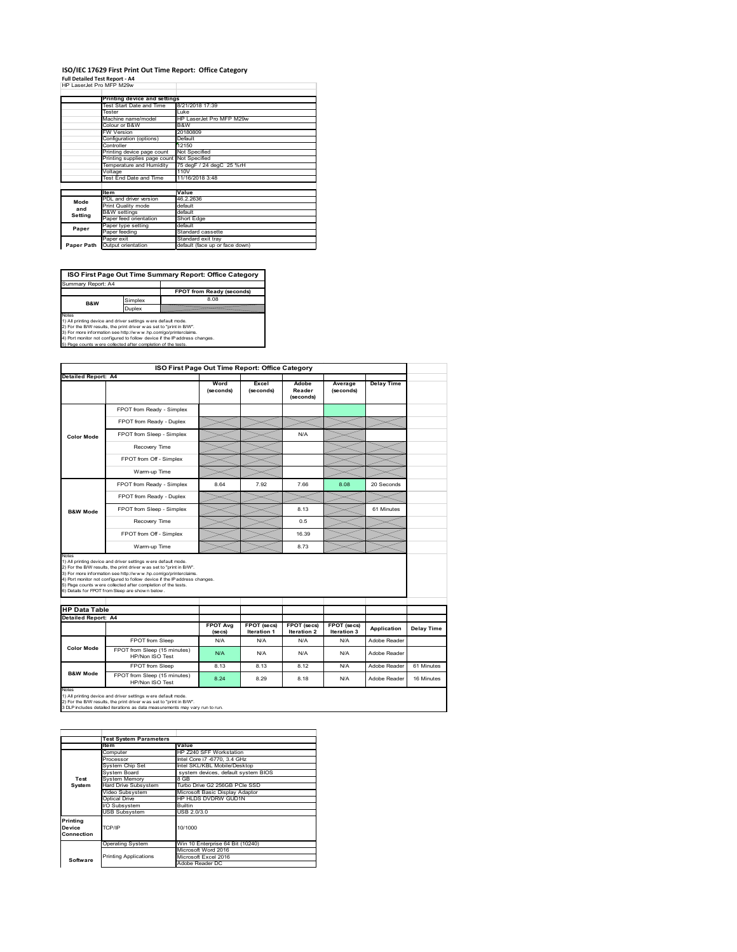#### **ISO/IEC 17629 First Print Out Time Report: Office Category Full Detailed Test Report ‐ A4**

|  | HP LaserJet Pro MFP M29w |  |  |
|--|--------------------------|--|--|

|            | Printing device and settings               |                                |
|------------|--------------------------------------------|--------------------------------|
|            | Test Start Date and Time                   | 8/21/2018 17:39                |
|            | Tester                                     | Luke                           |
|            | Machine name/model                         | HP LaserJet Pro MFP M29w       |
|            | Colour or B&W                              | B&W                            |
|            | <b>FW Version</b>                          | 20180809                       |
|            | Configuration (options)                    | Default                        |
|            | Controller                                 | 12150                          |
|            | Printing device page count                 | Not Specified                  |
|            | Printing supplies page count Not Specified |                                |
|            | Temperature and Humidity                   | 75 degF / 24 degC 25 %rH       |
|            | Voltage                                    | 110V                           |
|            | Test End Date and Time                     | 11/16/2018 3:48                |
|            |                                            |                                |
|            | <b>Item</b>                                | Value                          |
| Mode       | PDL and driver version                     | 46.2.2636                      |
| and        | Print Quality mode                         | default                        |
|            | <b>B&amp;W</b> settings                    | default                        |
| Setting    | Paper feed orientation                     | Short Edge                     |
| Paper      | Paper type setting                         | default                        |
|            | Paper feeding                              | Standard cassette              |
|            | Paper exit                                 | Standard exit tray             |
| Paper Path | Output orientation                         | default (face up or face down) |

**ISO First Page Out Time Summary Report: Office Category**

**FPOT from Ready (seconds)** Simplex 8.08 Duplex Notes<br>1) All printing device and driver settings were default mode.<br>2) For the BAV results, the print driver was set to "print in BAV".<br>3) For more information see http://www.hp.com/golprinterclaims.<br>4) Port monitor not co Summary Report: A4 **B&W**

|                                                             |                                                                                                                                                                                                                                                                                                                                                                                                             | ISO First Page Out Time Report: Office Category |                           |                              |                      |                   |            |
|-------------------------------------------------------------|-------------------------------------------------------------------------------------------------------------------------------------------------------------------------------------------------------------------------------------------------------------------------------------------------------------------------------------------------------------------------------------------------------------|-------------------------------------------------|---------------------------|------------------------------|----------------------|-------------------|------------|
| Detailed Report: A4                                         |                                                                                                                                                                                                                                                                                                                                                                                                             | Word<br>(seconds)                               | Excel<br>(seconds)        | Adobe<br>Reader<br>(seconds) | Average<br>(seconds) | <b>Delay Time</b> |            |
|                                                             | FPOT from Ready - Simplex                                                                                                                                                                                                                                                                                                                                                                                   |                                                 |                           |                              |                      |                   |            |
|                                                             | FPOT from Ready - Duplex                                                                                                                                                                                                                                                                                                                                                                                    |                                                 |                           |                              |                      |                   |            |
| <b>Color Mode</b>                                           | FPOT from Sleep - Simplex                                                                                                                                                                                                                                                                                                                                                                                   |                                                 |                           | N/A                          |                      |                   |            |
|                                                             | Recovery Time                                                                                                                                                                                                                                                                                                                                                                                               |                                                 |                           |                              |                      |                   |            |
|                                                             | FPOT from Off - Simplex                                                                                                                                                                                                                                                                                                                                                                                     |                                                 |                           |                              |                      |                   |            |
|                                                             | Warm-up Time                                                                                                                                                                                                                                                                                                                                                                                                |                                                 |                           |                              |                      |                   |            |
|                                                             | FPOT from Ready - Simplex                                                                                                                                                                                                                                                                                                                                                                                   | 8.64                                            | 7.92                      | 7.66                         | 8.08                 | 20 Seconds        |            |
|                                                             | FPOT from Ready - Duplex                                                                                                                                                                                                                                                                                                                                                                                    |                                                 |                           |                              |                      |                   |            |
| <b>B&amp;W Mode</b>                                         | FPOT from Sleep - Simplex                                                                                                                                                                                                                                                                                                                                                                                   |                                                 |                           | 8.13                         |                      | 61 Minutes        |            |
|                                                             |                                                                                                                                                                                                                                                                                                                                                                                                             |                                                 |                           |                              |                      |                   |            |
|                                                             | Recovery Time                                                                                                                                                                                                                                                                                                                                                                                               |                                                 |                           | 0.5                          |                      |                   |            |
|                                                             | FPOT from Off - Simplex                                                                                                                                                                                                                                                                                                                                                                                     |                                                 |                           | 16.39                        |                      |                   |            |
|                                                             | Warm-up Time                                                                                                                                                                                                                                                                                                                                                                                                |                                                 |                           | 8.73                         |                      |                   |            |
| Notes<br><b>HP Data Table</b><br><b>Detailed Report: A4</b> | 1) All printing device and driver settings w ere default mode.<br>2) For the B/W results, the print driver was set to "print in B/W".<br>3) For more information see http://www.hp.com/go/printerclaims.<br>4) Port monitor not configured to follow device if the IP address changes.<br>5) Page counts w ere collected after completion of the tests.<br>6) Details for FPOT from Sleep are show n below. | <b>FPOT Avg</b>                                 | FPOT (secs)               | FPOT (secs)                  | FPOT (secs)          | Application       | Delay Time |
|                                                             |                                                                                                                                                                                                                                                                                                                                                                                                             | (se cs)<br>N/A                                  | <b>Iteration 1</b><br>N/A | <b>Iteration 2</b><br>N/A    | Iteration 3<br>N/A   | Adobe Reader      |            |
| <b>Color Mode</b>                                           | FPOT from Sleep<br>FPOT from Sleep (15 minutes)<br>HP/Non ISO Test                                                                                                                                                                                                                                                                                                                                          | N/A                                             | N/A                       | N/A                          | N/A                  | Adobe Reader      |            |
|                                                             | FPOT from Sleep                                                                                                                                                                                                                                                                                                                                                                                             | 8.13                                            | 8.13                      | 8.12                         | N/A                  | Adobe Reader      | 61 Minutes |

|               | <b>Test System Parameters</b> |                                     |  |
|---------------|-------------------------------|-------------------------------------|--|
|               | Item                          | Value                               |  |
|               | Computer                      | HP Z240 SFF Workstation             |  |
|               | Processor                     | Intel Core i7 -6770, 3.4 GHz        |  |
|               | System Chip Set               | Intel SKL/KBL Mobile/Desktop        |  |
|               | System Board                  | system devices, default system BIOS |  |
| Test          | <b>System Memory</b>          | 8 GB                                |  |
| System        | <b>Hard Drive Subsystem</b>   | Turbo Drive G2 256GB PCle SSD       |  |
|               | Video Subsystem               | Microsoft Basic Display Adaptor     |  |
| Optical Drive |                               | HP HLDS DVDRW GUD1N                 |  |
|               | I/O Subsystem                 | Builtin                             |  |
|               | <b>USB Subsystem</b>          | USB 2.0/3.0                         |  |
| Printing      |                               |                                     |  |
| Device        | TCP/IP                        | 10/1000                             |  |
| Connection    |                               |                                     |  |
|               |                               |                                     |  |
|               | <b>Operating System</b>       | Win 10 Enterprise 64 Bit (10240)    |  |
|               |                               | Microsoft Word 2016                 |  |
| Software      | <b>Printing Applications</b>  | Microsoft Excel 2016                |  |
|               |                               | Adobe Reader DC                     |  |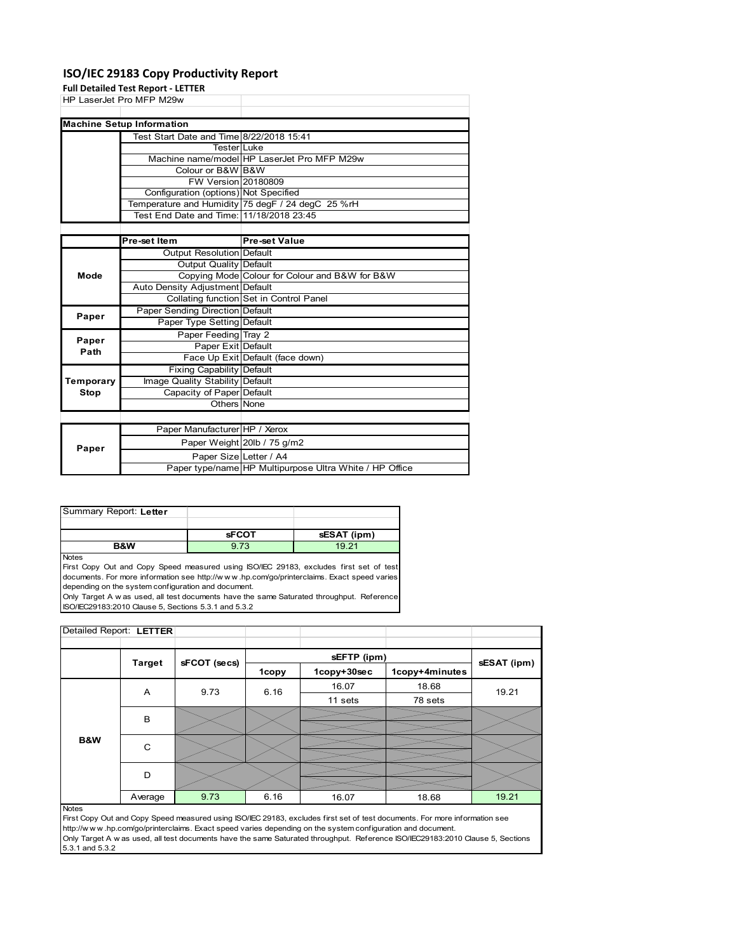### **ISO/IEC 29183 Copy Productivity Report**

**Full Detailed Test Report ‐ LETTER**

|           | rull Detailed Test Report - LETTER       |                                                   |
|-----------|------------------------------------------|---------------------------------------------------|
|           | HP LaserJet Pro MFP M29w                 |                                                   |
|           |                                          |                                                   |
|           | <b>Machine Setup Information</b>         |                                                   |
|           | Test Start Date and Time 8/22/2018 15:41 |                                                   |
|           | <b>Tester</b> Luke                       |                                                   |
|           |                                          | Machine name/model HP LaserJet Pro MFP M29w       |
|           | Colour or B&W B&W                        |                                                   |
|           | <b>FW Version 20180809</b>               |                                                   |
|           | Configuration (options) Not Specified    |                                                   |
|           |                                          | Temperature and Humidity 75 degF / 24 degC 25 %rH |
|           | Test End Date and Time: 11/18/2018 23:45 |                                                   |
|           |                                          |                                                   |
|           | Pre-set Item                             | <b>Pre-set Value</b>                              |
|           | Output Resolution Default                |                                                   |
|           | Output Quality Default                   |                                                   |
| Mode      |                                          | Copying Mode Colour for Colour and B&W for B&W    |
|           | Auto Density Adjustment Default          |                                                   |
|           |                                          | Collating function Set in Control Panel           |
| Paper     | Paper Sending Direction Default          |                                                   |
|           | Paper Type Setting Default               |                                                   |
| Paper     | Paper Feeding Tray 2                     |                                                   |
| Path      | Paper Exit Default                       |                                                   |
|           |                                          | Face Up Exit Default (face down)                  |
|           | <b>Fixing Capability Default</b>         |                                                   |
| Temporary | Image Quality Stability Default          |                                                   |
| Stop      | Capacity of Paper Default                |                                                   |
|           | Others None                              |                                                   |
|           |                                          |                                                   |
|           | Paper Manufacturer HP / Xerox            |                                                   |
| Paper     |                                          | Paper Weight 20lb / 75 g/m2                       |
|           | $\sim$ $\sim$                            |                                                   |

| Summary Report: Letter |         |      |
|------------------------|---------|------|
|                        | $-0.07$ | $-1$ |

Paper Size Letter / A4

Paper type/name HP Multipurpose Ultra White / HP Office

|                                                                                        | <b>sFCOT</b> | sESAT (ipm) |
|----------------------------------------------------------------------------------------|--------------|-------------|
| B&W                                                                                    | 9.73         | 19 21       |
| <b>Notes</b>                                                                           |              |             |
| First Copy Out and Copy Speed measured using ISO/IEC 29183, excludes first set of test |              |             |

documents. For more information see http://w w w .hp.com/go/printerclaims. Exact speed varies depending on the system configuration and document. Only Target A w as used, all test documents have the same Saturated throughput. Reference

ISO/IEC29183:2010 Clause 5, Sections 5.3.1 and 5.3.2

| Detailed Report: LETTER |               |              |       |             |                |             |
|-------------------------|---------------|--------------|-------|-------------|----------------|-------------|
|                         |               |              |       |             |                |             |
|                         | <b>Target</b> | sFCOT (secs) |       | sEFTP (ipm) |                | sESAT (ipm) |
|                         |               |              | 1copy | 1copy+30sec | 1copy+4minutes |             |
|                         | A             | 9.73         | 6.16  | 16.07       | 18.68          | 19.21       |
|                         |               |              |       | 11 sets     | 78 sets        |             |
|                         | B             |              |       |             |                |             |
|                         |               |              |       |             |                |             |
| <b>B&amp;W</b>          | C             |              |       |             |                |             |
|                         |               |              |       |             |                |             |
|                         | D             |              |       |             |                |             |
|                         |               |              |       |             |                |             |
|                         | Average       | 9.73         | 6.16  | 16.07       | 18.68          | 19.21       |

#### Notes

First Copy Out and Copy Speed measured using ISO/IEC 29183, excludes first set of test documents. For more information see http://w w w .hp.com/go/printerclaims. Exact speed varies depending on the system configuration and document. Only Target A w as used, all test documents have the same Saturated throughput. Reference ISO/IEC29183:2010 Clause 5, Sections 5.3.1 and 5.3.2